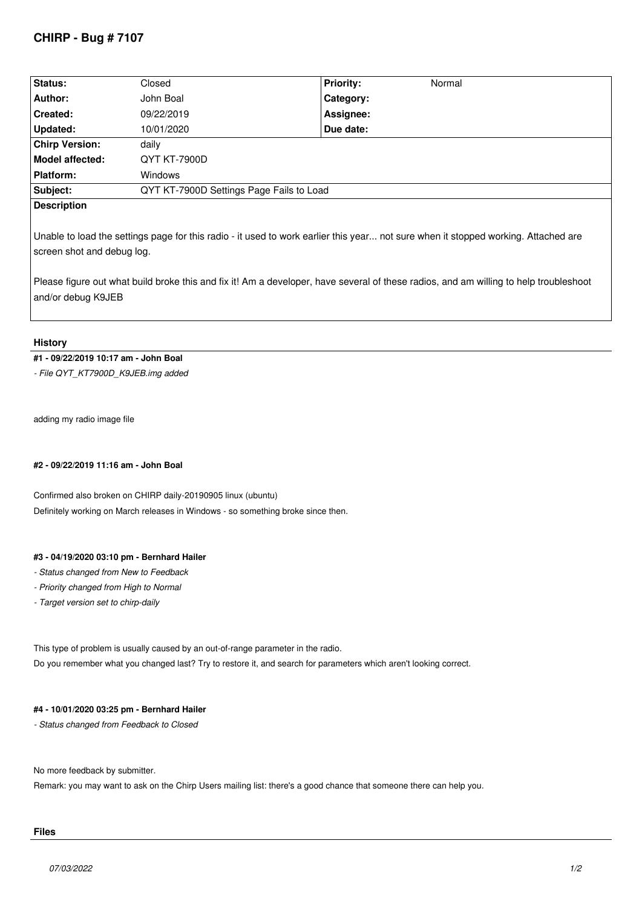# **CHIRP - Bug # 7107**

| Status:                | Closed                                   | <b>Priority:</b> | Normal |  |
|------------------------|------------------------------------------|------------------|--------|--|
| Author:                | John Boal                                | Category:        |        |  |
| Created:               | 09/22/2019                               | Assignee:        |        |  |
| Updated:               | 10/01/2020                               | Due date:        |        |  |
| <b>Chirp Version:</b>  | daily                                    |                  |        |  |
| <b>Model affected:</b> | QYT KT-7900D                             |                  |        |  |
| <b>Platform:</b>       | Windows                                  |                  |        |  |
| Subject:               | QYT KT-7900D Settings Page Fails to Load |                  |        |  |
| <b>Description</b>     |                                          |                  |        |  |

*Unable to load the settings page for this radio - it used to work earlier this year... not sure when it stopped working. Attached are screen shot and debug log.*

*Please figure out what build broke this and fix it! Am a developer, have several of these radios, and am willing to help troubleshoot and/or debug K9JEB*

### **History**

## **#1 - 09/22/2019 10:17 am - John Boal**

*- File QYT\_KT7900D\_K9JEB.img added*

*adding my radio image file*

### **#2 - 09/22/2019 11:16 am - John Boal**

*Confirmed also broken on CHIRP daily-20190905 linux (ubuntu) Definitely working on March releases in Windows - so something broke since then.*

### **#3 - 04/19/2020 03:10 pm - Bernhard Hailer**

- *Status changed from New to Feedback*
- *Priority changed from High to Normal*
- *Target version set to chirp-daily*

*This type of problem is usually caused by an out-of-range parameter in the radio. Do you remember what you changed last? Try to restore it, and search for parameters which aren't looking correct.*

### **#4 - 10/01/2020 03:25 pm - Bernhard Hailer**

*- Status changed from Feedback to Closed*

*No more feedback by submitter.*

*Remark: you may want to ask on the Chirp Users mailing list: there's a good chance that someone there can help you.*

#### **Files**